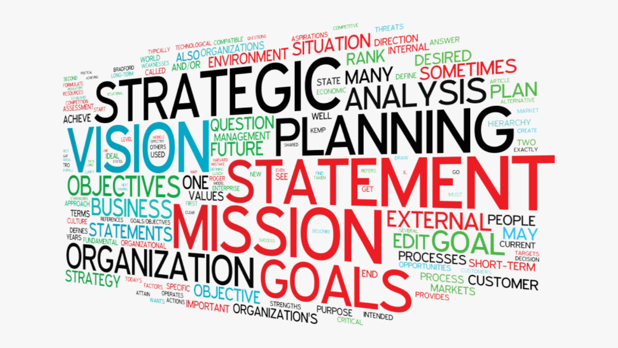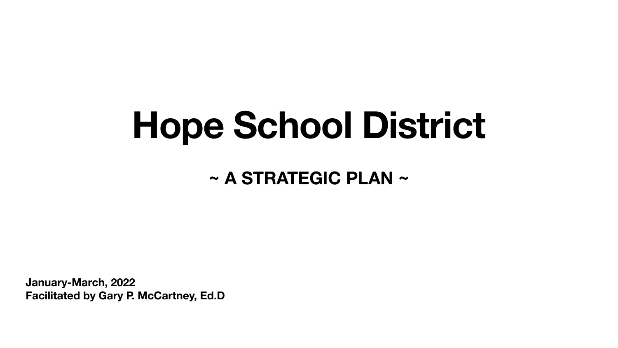**January-March, 2022 Facilitated by Gary P. McCartney, Ed.D**

## **Hope School District**

 **~ A STRATEGIC PLAN ~**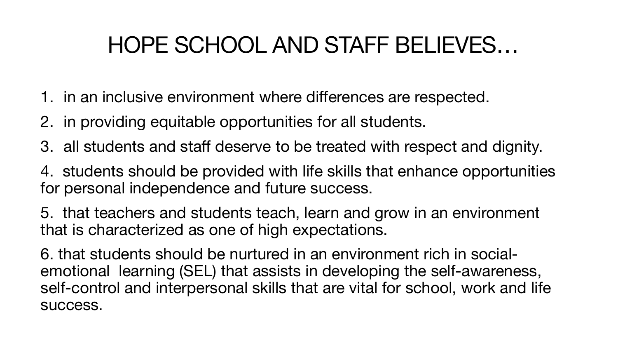## HOPE SCHOOL AND STAFF BELIEVES…

- 1. in an inclusive environment where differences are respected.
- 2. in providing equitable opportunities for all students.
- 3. all students and staff deserve to be treated with respect and dignity.
- 4. students should be provided with life skills that enhance opportunities for personal independence and future success.
- 5. that teachers and students teach, learn and grow in an environment that is characterized as one of high expectations.
- 6. that students should be nurtured in an environment rich in socialemotional learning (SEL) that assists in developing the self-awareness, self-control and interpersonal skills that are vital for school, work and life success.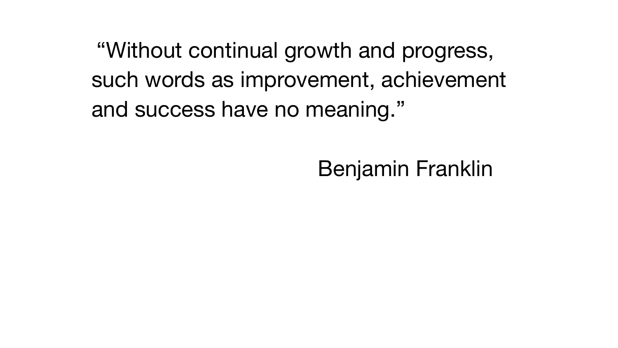"Without continual growth and progress, such words as improvement, achievement and success have no meaning."

Benjamin Franklin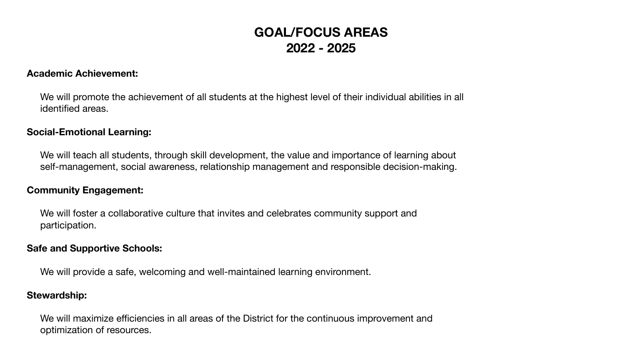#### **GOAL/FOCUS AREAS 2022 - 2025**

#### **Academic Achievement:**

 We will promote the achievement of all students at the highest level of their individual abilities in all identified areas.

#### **Social-Emotional Learning:**

 We will teach all students, through skill development, the value and importance of learning about self-management, social awareness, relationship management and responsible decision-making.

We will maximize efficiencies in all areas of the District for the continuous improvement and optimization of resources.

#### **Community Engagement:**

 We will foster a collaborative culture that invites and celebrates community support and participation.

#### **Safe and Supportive Schools:**

We will provide a safe, welcoming and well-maintained learning environment.

#### **Stewardship:**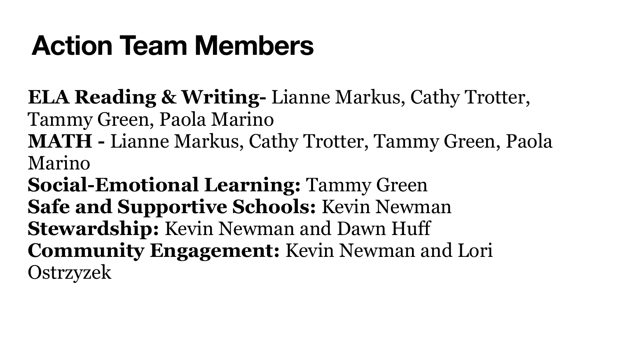## **Action Team Members**

**ELA Reading & Writing-** Lianne Markus, Cathy Trotter, Tammy Green, Paola Marino Marino

- 
- **MATH** Lianne Markus, Cathy Trotter, Tammy Green, Paola
	-

**Social-Emotional Learning:** Tammy Green **Safe and Supportive Schools:** Kevin Newman **Stewardship:** Kevin Newman and Dawn Huff **Community Engagement:** Kevin Newman and Lori Ostrzyzek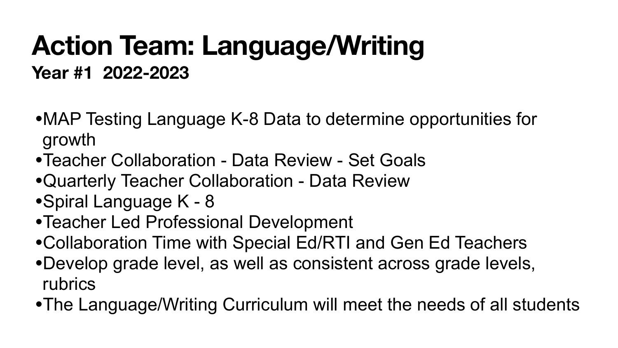## **Action Team: Language/Writing Year #1 2022-2023**

- •MAP Testing Language K-8 Data to determine opportunities for growth
- •Teacher Collaboration Data Review Set Goals •Quarterly Teacher Collaboration - Data Review
- 
- •Spiral Language K 8
- •Teacher Led Professional Development •Collaboration Time with Special Ed/RTI and Gen Ed Teachers •Develop grade level, as well as consistent across grade levels,
- 
- rubrics
- •The Language/Writing Curriculum will meet the needs of all students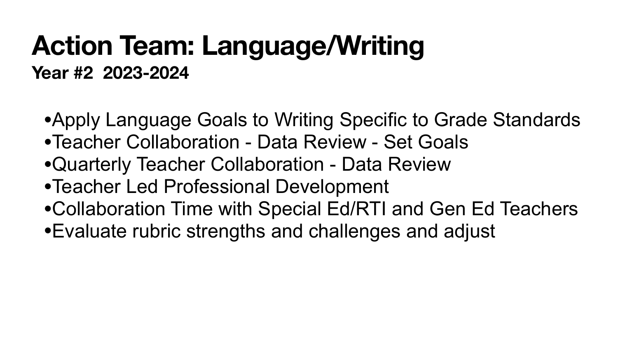## **Action Team: Language/Writing Year #2 2023-2024**

- •Apply Language Goals to Writing Specific to Grade Standards •Teacher Collaboration - Data Review - Set Goals
- 
- •Quarterly Teacher Collaboration Data Review
- •Teacher Led Professional Development
- 
- •Collaboration Time with Special Ed/RTI and Gen Ed Teachers •Evaluate rubric strengths and challenges and adjust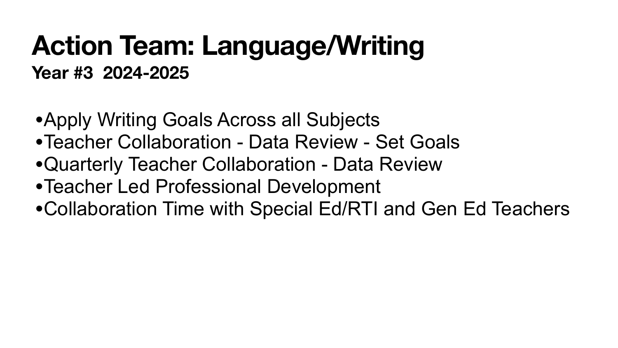#### **Action Team: Language/Writing Year #3 2024-2025**

- •Apply Writing Goals Across all Subjects •Teacher Collaboration - Data Review - Set Goals •Quarterly Teacher Collaboration - Data Review •Teacher Led Professional Development •Collaboration Time with Special Ed/RTI and Gen Ed Teachers
- 
- 
-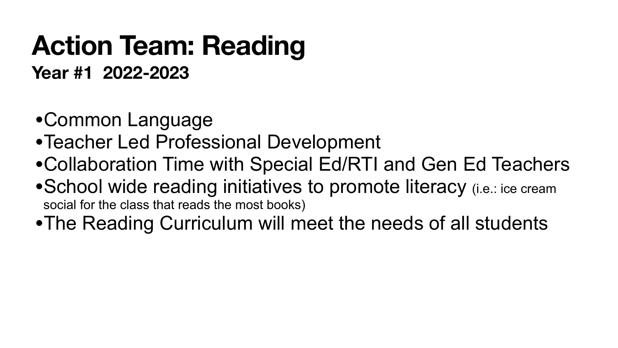## **Action Team: Reading Year #1 2022-2023**

- •Common Language
- •Teacher Led Professional Development
- •Collaboration Time with Special Ed/RTI and Gen Ed Teachers
- School wide reading initiatives to promote literacy (i.e.: ice cream social for the class that reads the most books)
- •The Reading Curriculum will meet the needs of all students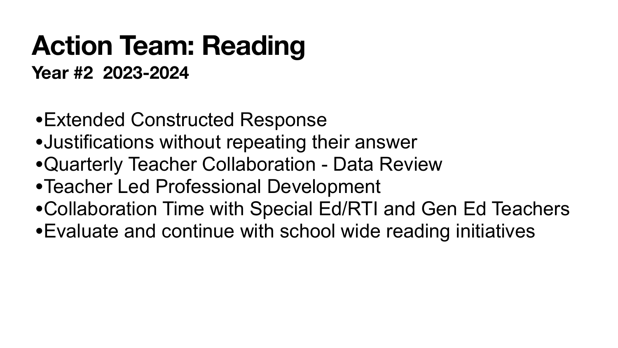## **Action Team: Reading Year #2 2023-2024**

- •Extended Constructed Response
- •Justifications without repeating their answer
- •Quarterly Teacher Collaboration Data Review
- •Teacher Led Professional Development
- 
- •Collaboration Time with Special Ed/RTI and Gen Ed Teachers •Evaluate and continue with school wide reading initiatives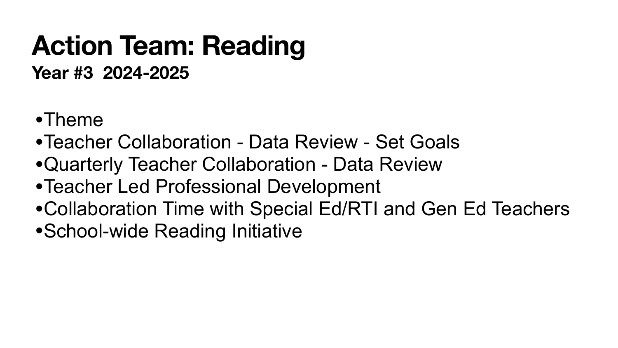## **Action Team: Reading Year #3 2024-2025**

- •Theme
- •Teacher Collaboration Data Review Set Goals
- •Quarterly Teacher Collaboration Data Review
- •Teacher Led Professional Development
- 
- •School-wide Reading Initiative

# •Collaboration Time with Special Ed/RTI and Gen Ed Teachers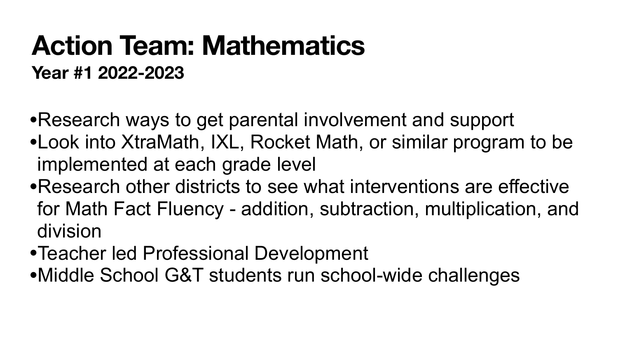#### **Action Team: Mathematics Year #1 2022-2023**

- •Research ways to get parental involvement and support •Look into XtraMath, IXL, Rocket Math, or similar program to be implemented at each grade level
- 
- •Research other districts to see what interventions are effective for Math Fact Fluency - addition, subtraction, multiplication, and division
- •Teacher led Professional Development
- •Middle School G&T students run school-wide challenges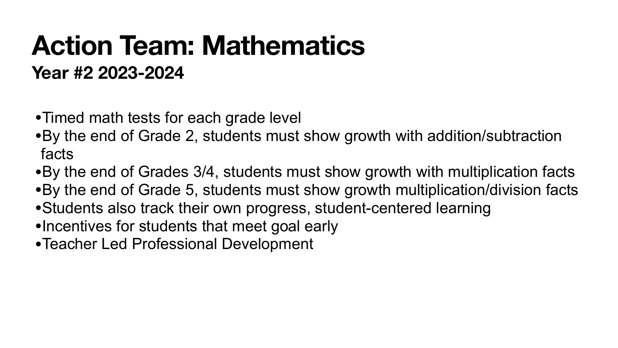#### **Action Team: Mathematics Year #2 2023-2024**

- •Timed math tests for each grade level
- •By the end of Grade 2, students must show growth with addition/subtraction facts
- 
- •By the end of Grades 3/4, students must show growth with multiplication facts •By the end of Grade 5, students must show growth multiplication/division facts •Students also track their own progress, student-centered learning •Incentives for students that meet goal early
- 
- 
- •Teacher Led Professional Development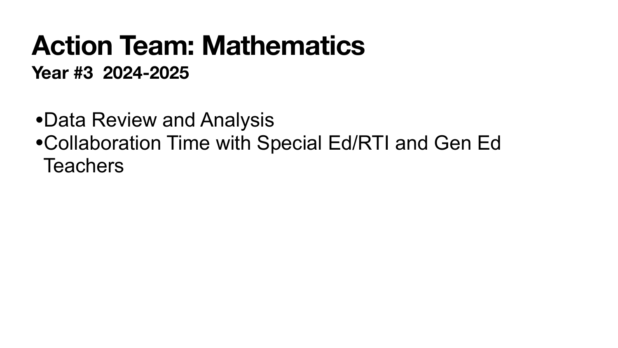#### **Action Team: Mathematics Year #3 2024-2025**

•Data Review and Analysis •Collaboration Time with Special Ed/RTI and Gen Ed Teachers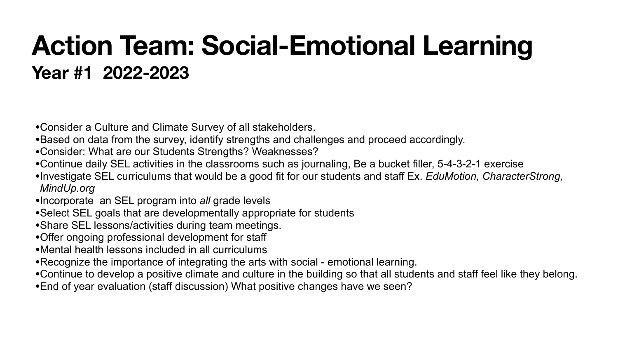## **Action Team: Social-Emotional Learning Year #1 2022-2023**

- •Consider a Culture and Climate Survey of all stakeholders.
- •Based on data from the survey, identify strengths and challenges and proceed accordingly.
- •Consider: What are our Students Strengths? Weaknesses?
- •Continue daily SEL activities in the classrooms such as journaling, Be a bucket filler, 5-4-3-2-1 exercise
- •Investigate SEL curriculums that would be a good fit for our students and staff Ex. *EduMotion, CharacterStrong, MindUp.org*
- •Incorporate an SEL program into *all* grade levels
- •Select SEL goals that are developmentally appropriate for students
- •Share SEL lessons/activities during team meetings.
- •Offer ongoing professional development for staff
- •Mental health lessons included in all curriculums
- •Recognize the importance of integrating the arts with social emotional learning.
- 
- •End of year evaluation (staff discussion) What positive changes have we seen?

•Continue to develop a positive climate and culture in the building so that all students and staff feel like they belong.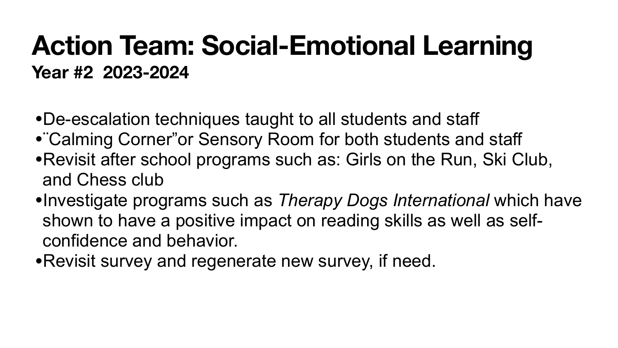## **Action Team: Social-Emotional Learning Year #2 2023-2024**

- •De-escalation techniques taught to all students and staff •¨Calming Corner"or Sensory Room for both students and staff •Revisit after school programs such as: Girls on the Run, Ski Club,
- 
- and Chess club
- •Investigate programs such as *Therapy Dogs International* which have shown to have a positive impact on reading skills as well as selfconfidence and behavior.
- •Revisit survey and regenerate new survey, if need.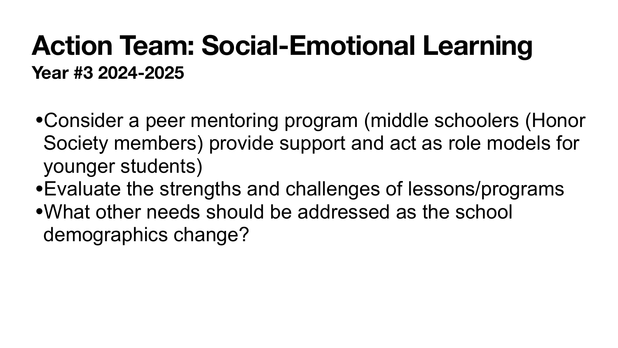## **Action Team: Social-Emotional Learning Year #3 2024-2025**

- •Consider a peer mentoring program (middle schoolers (Honor Society members) provide support and act as role models for younger students)
- •Evaluate the strengths and challenges of lessons/programs •What other needs should be addressed as the school
- demographics change?

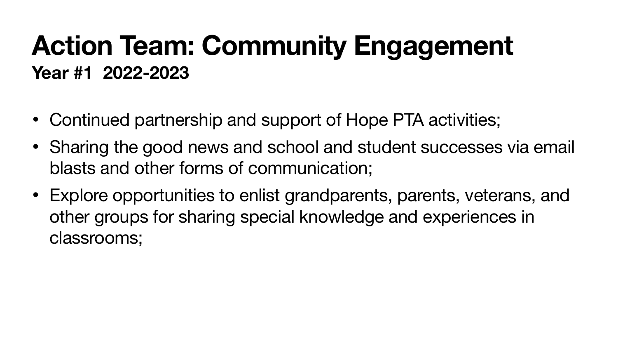## **Action Team: Community Engagement Year #1 2022-2023**

- Continued partnership and support of Hope PTA activities;
- Sharing the good news and school and student successes via email blasts and other forms of communication;
- Explore opportunities to enlist grandparents, parents, veterans, and other groups for sharing special knowledge and experiences in classrooms;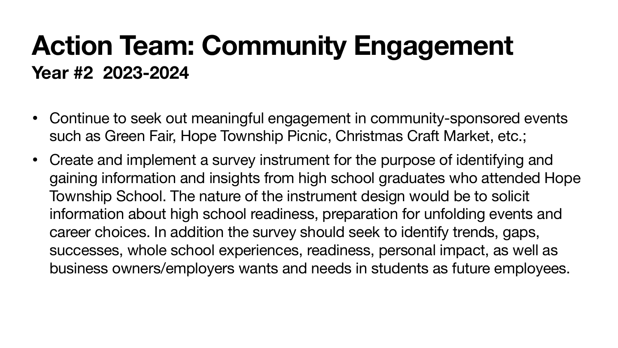## **Action Team: Community Engagement Year #2 2023-2024**

- Continue to seek out meaningful engagement in community-sponsored events such as Green Fair, Hope Township Picnic, Christmas Craft Market, etc.;
- Create and implement a survey instrument for the purpose of identifying and gaining information and insights from high school graduates who attended Hope Township School. The nature of the instrument design would be to solicit information about high school readiness, preparation for unfolding events and career choices. In addition the survey should seek to identify trends, gaps, successes, whole school experiences, readiness, personal impact, as well as business owners/employers wants and needs in students as future employees.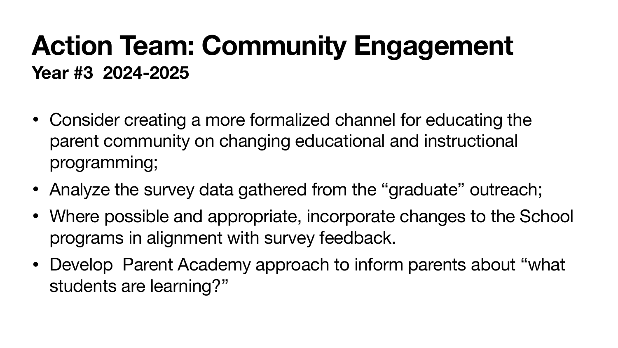## **Action Team: Community Engagement Year #3 2024-2025**

- Consider creating a more formalized channel for educating the parent community on changing educational and instructional programming;
- Analyze the survey data gathered from the "graduate" outreach;
- Where possible and appropriate, incorporate changes to the School programs in alignment with survey feedback.
- Develop Parent Academy approach to inform parents about "what students are learning?"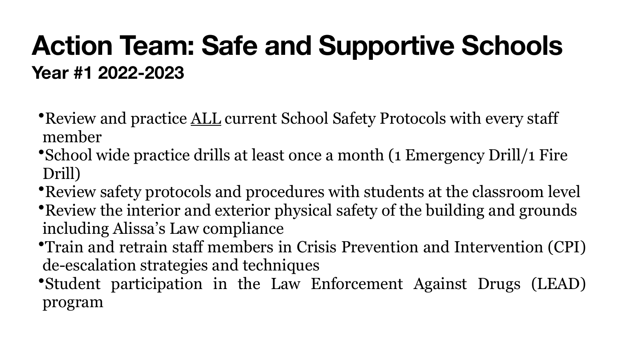## **Action Team: Safe and Supportive Schools Year #1 2022-2023**

- •Review and practice <u>ALL</u> current School Safety Protocols with every staff member
- •School wide practice drills at least once a month (1 Emergency Drill/1 Fire Drill)
- 
- •Review safety protocols and procedures with students at the classroom level • Review the interior and exterior physical safety of the building and grounds including Alissa's Law compliance
- •Train and retrain staff members in Crisis Prevention and Intervention (CPI) de-escalation strategies and techniques
- •Student participation in the Law Enforcement Against Drugs (LEAD) program

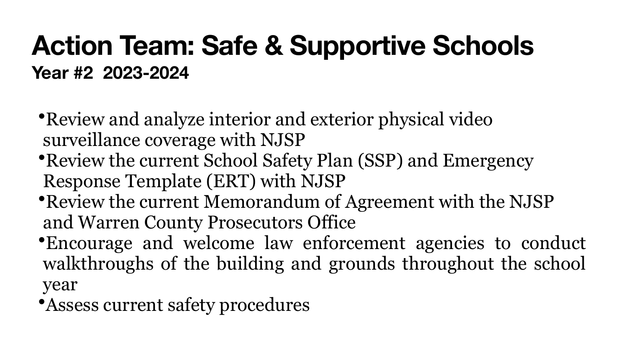## **Action Team: Safe & Supportive Schools Year #2 2023-2024**

- •Review and analyze interior and exterior physical video surveillance coverage with NJSP
- •Review the current School Safety Plan (SSP) and Emergency Response Template (ERT) with NJSP
- •Review the current Memorandum of Agreement with the NJSP and Warren County Prosecutors Office
- •Encourage and welcome law enforcement agencies to conduct walkthroughs of the building and grounds throughout the school
- year
- •Assess current safety procedures

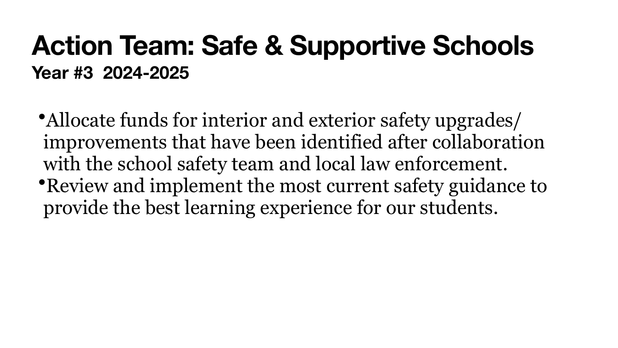## **Action Team: Safe & Supportive Schools Year #3 2024-2025**

•Allocate funds for interior and exterior safety upgrades/ improvements that have been identified after collaboration with the school safety team and local law enforcement. •Review and implement the most current safety guidance to provide the best learning experience for our students.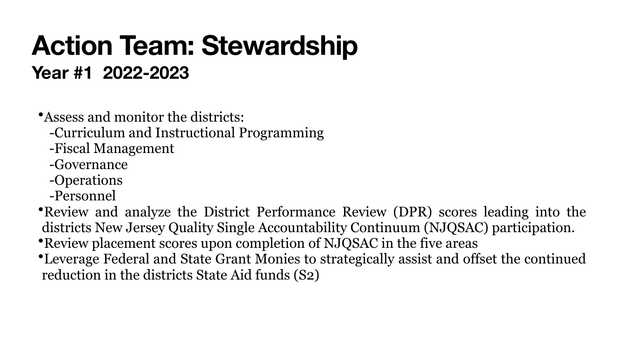## **Action Team: Stewardship Year #1 2022-2023**

•Assess and monitor the districts:

- -Curriculum and Instructional Programming
- -Fiscal Management
- -Governance
- -Operations
- -Personnel
- 
- •Review placement scores upon completion of NJQSAC in the five areas
- reduction in the districts State Aid funds (S2)

•Review and analyze the District Performance Review (DPR) scores leading into the districts New Jersey Quality Single Accountability Continuum (NJQSAC) participation. •Leverage Federal and State Grant Monies to strategically assist and offset the continued



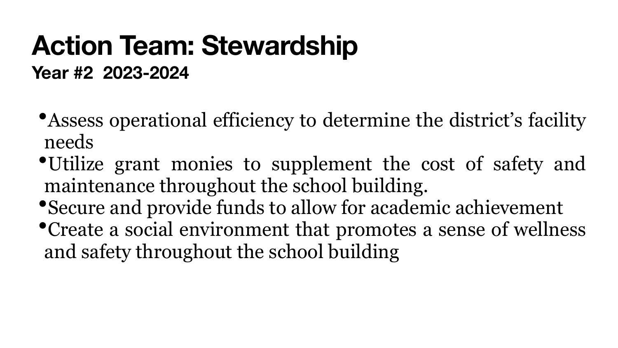#### **Action Team: Stewardship Year #2 2023-2024**

- •Assess operational efficiency to determine the district's facility needs
- •Utilize grant monies to supplement the cost of safety and maintenance throughout the school building.
- •Secure and provide funds to allow for academic achievement •Create a social environment that promotes a sense of wellness and safety throughout the school building
- 

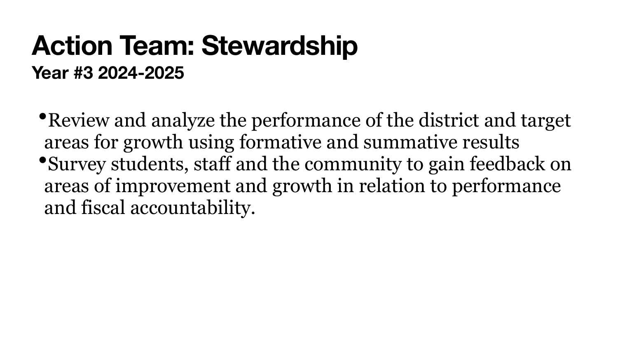#### **Action Team: Stewardship Year #3 2024-2025**

•Review and analyze the performance of the district and target •Survey students, staff and the community to gain feedback on areas of improvement and growth in relation to performance

areas for growth using formative and summative results and fiscal accountability.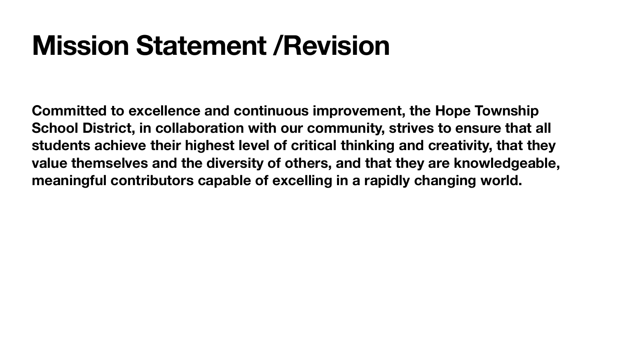## **Mission Statement /Revision**

**Committed to excellence and continuous improvement, the Hope Township School District, in collaboration with our community, strives to ensure that all students achieve their highest level of critical thinking and creativity, that they value themselves and the diversity of others, and that they are knowledgeable, meaningful contributors capable of excelling in a rapidly changing world.**